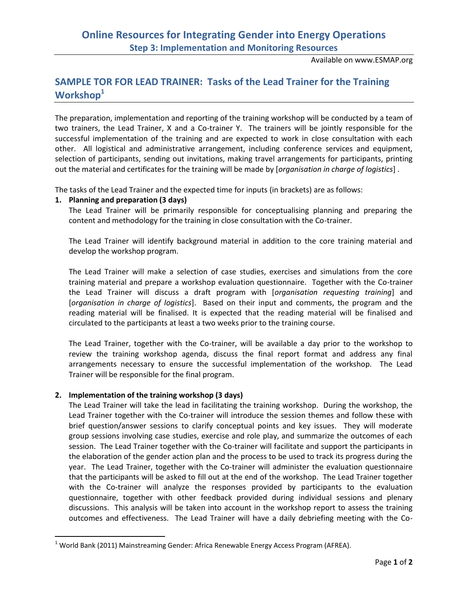# **Online Resources for Integrating Gender into Energy Operations Step 3: Implementation and Monitoring Resources**

Available on www.ESMAP.org

# **SAMPLE TOR FOR LEAD TRAINER: Tasks of the Lead Trainer for the Training Workshop<sup>1</sup>**

The preparation, implementation and reporting of the training workshop will be conducted by a team of two trainers, the Lead Trainer, X and a Co-trainer Y. The trainers will be jointly responsible for the successful implementation of the training and are expected to work in close consultation with each other. All logistical and administrative arrangement, including conference services and equipment, selection of participants, sending out invitations, making travel arrangements for participants, printing out the material and certificates for the training will be made by [*organisation in charge of logistics*] .

The tasks of the Lead Trainer and the expected time for inputs (in brackets) are as follows:

### **1. Planning and preparation (3 days)**

The Lead Trainer will be primarily responsible for conceptualising planning and preparing the content and methodology for the training in close consultation with the Co-trainer.

The Lead Trainer will identify background material in addition to the core training material and develop the workshop program.

The Lead Trainer will make a selection of case studies, exercises and simulations from the core training material and prepare a workshop evaluation questionnaire. Together with the Co-trainer the Lead Trainer will discuss a draft program with [*organisation requesting training*] and [*organisation in charge of logistics*]. Based on their input and comments, the program and the reading material will be finalised. It is expected that the reading material will be finalised and circulated to the participants at least a two weeks prior to the training course.

The Lead Trainer, together with the Co-trainer, will be available a day prior to the workshop to review the training workshop agenda, discuss the final report format and address any final arrangements necessary to ensure the successful implementation of the workshop. The Lead Trainer will be responsible for the final program.

### **2. Implementation of the training workshop (3 days)**

 $\overline{\phantom{a}}$ 

The Lead Trainer will take the lead in facilitating the training workshop. During the workshop, the Lead Trainer together with the Co-trainer will introduce the session themes and follow these with brief question/answer sessions to clarify conceptual points and key issues. They will moderate group sessions involving case studies, exercise and role play, and summarize the outcomes of each session. The Lead Trainer together with the Co-trainer will facilitate and support the participants in the elaboration of the gender action plan and the process to be used to track its progress during the year. The Lead Trainer, together with the Co-trainer will administer the evaluation questionnaire that the participants will be asked to fill out at the end of the workshop. The Lead Trainer together with the Co-trainer will analyze the responses provided by participants to the evaluation questionnaire, together with other feedback provided during individual sessions and plenary discussions. This analysis will be taken into account in the workshop report to assess the training outcomes and effectiveness. The Lead Trainer will have a daily debriefing meeting with the Co-

 $1$  World Bank (2011) Mainstreaming Gender: Africa Renewable Energy Access Program (AFREA).